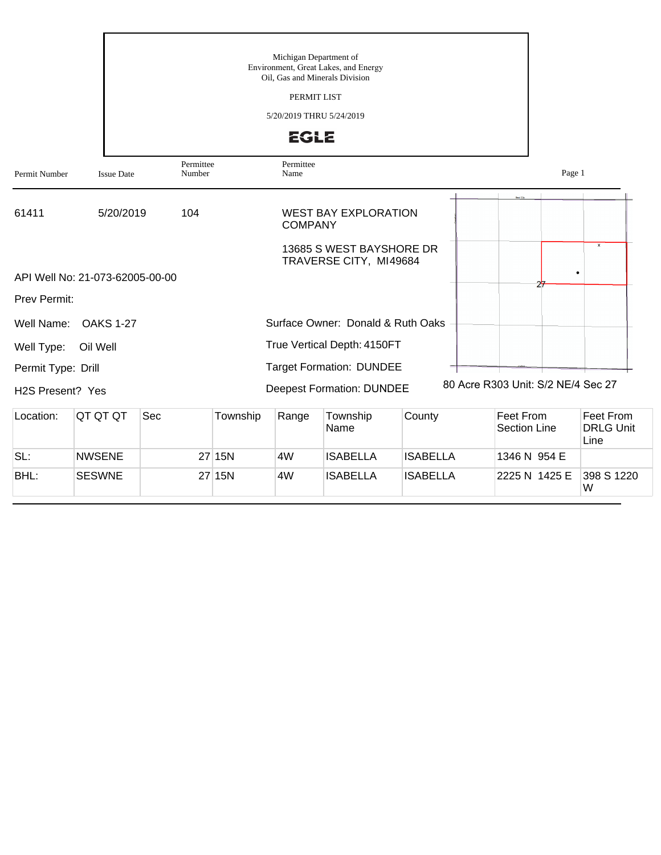|                               |                                 | Michigan Department of<br>Environment, Great Lakes, and Energy<br>Oil, Gas and Minerals Division<br>PERMIT LIST<br>5/20/2019 THRU 5/24/2019<br><b>EGLE</b> |          |                   |                                                    |        |                                         |                                                |  |  |
|-------------------------------|---------------------------------|------------------------------------------------------------------------------------------------------------------------------------------------------------|----------|-------------------|----------------------------------------------------|--------|-----------------------------------------|------------------------------------------------|--|--|
| Permit Number                 | <b>Issue Date</b>               | Permittee<br>Number                                                                                                                                        |          | Permittee<br>Name |                                                    |        |                                         | Page 1                                         |  |  |
| 61411                         | 5/20/2019                       | 104                                                                                                                                                        |          | <b>COMPANY</b>    | <b>WEST BAY EXPLORATION</b>                        |        |                                         |                                                |  |  |
|                               | API Well No: 21-073-62005-00-00 |                                                                                                                                                            |          |                   | 13685 S WEST BAYSHORE DR<br>TRAVERSE CITY, MI49684 |        |                                         | $\pmb{\times}$                                 |  |  |
| Prev Permit:                  |                                 |                                                                                                                                                            |          |                   |                                                    |        |                                         |                                                |  |  |
| Well Name:                    | <b>OAKS 1-27</b>                |                                                                                                                                                            |          |                   | Surface Owner: Donald & Ruth Oaks                  |        |                                         |                                                |  |  |
| Well Type:                    | Oil Well                        |                                                                                                                                                            |          |                   | True Vertical Depth: 4150FT                        |        |                                         |                                                |  |  |
| Permit Type: Drill            |                                 |                                                                                                                                                            |          |                   | <b>Target Formation: DUNDEE</b>                    |        |                                         |                                                |  |  |
| H <sub>2</sub> S Present? Yes |                                 |                                                                                                                                                            |          |                   | <b>Deepest Formation: DUNDEE</b>                   |        | 80 Acre R303 Unit: S/2 NE/4 Sec 27      |                                                |  |  |
| Location:                     | QT QT QT                        | Sec                                                                                                                                                        | Township | Range             | Township<br>Name                                   | County | <b>Feet From</b><br><b>Section Line</b> | Feet From<br><b>DRLG Unit</b><br>$l$ in $\sim$ |  |  |

|      |               |        |    | Name     |                 | lSection Line⊹           | <b>DRLG Unit</b><br>Line |
|------|---------------|--------|----|----------|-----------------|--------------------------|--------------------------|
| SL:  | <b>NWSENE</b> | 27 15N | 4W | ISABELLA | IISABELLA       | 1346 N 954 E             |                          |
| BHL: | <b>SESWNE</b> | 27 15N | 4W | ISABELLA | <b>ISABELLA</b> | 2225 N 1425 E 398 S 1220 | W                        |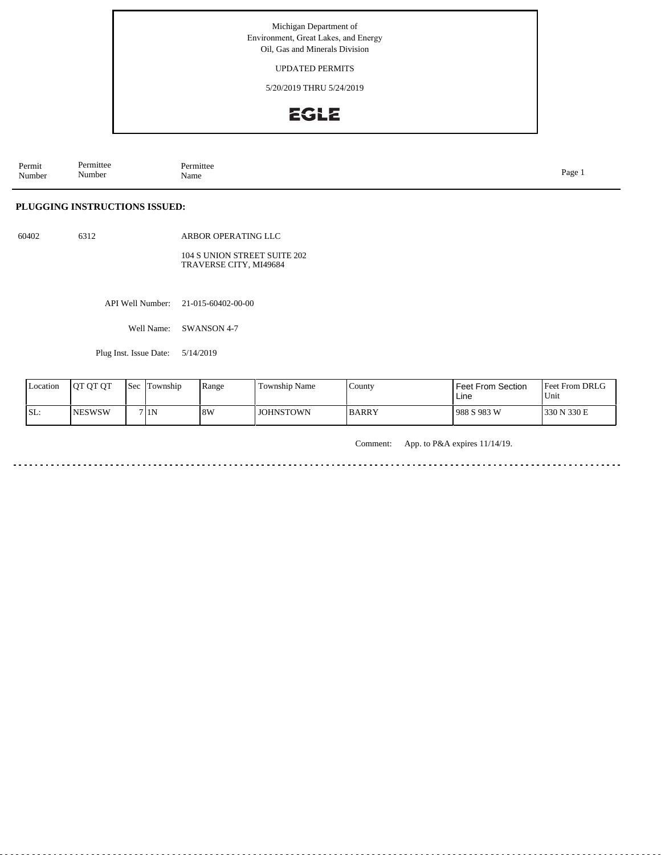Michigan Department of Environment, Great Lakes, and Energy Oil, Gas and Minerals Division

#### UPDATED PERMITS

5/20/2019 THRU 5/24/2019

# **EGLE**

Permit Number Permittee Number Permittee<br>Name Name Page 1

### **PLUGGING INSTRUCTIONS ISSUED:**

60402 6312

ARBOR OPERATING LLC

104 S UNION STREET SUITE 202 TRAVERSE CITY, MI49684

API Well Number: 21-015-60402-00-00

Well Name: SWANSON 4-7

Plug Inst. Issue Date: 5/14/2019

| Location | <b>OT QT QT</b> | <b>Sec</b> | Township | Range | Township Name    | County       | Feet From Section<br>Line | Feet From DRLG<br>Unit |
|----------|-----------------|------------|----------|-------|------------------|--------------|---------------------------|------------------------|
| SL:      | <b>NESWSW</b>   |            | 7 1N     | 8W    | <b>JOHNSTOWN</b> | <b>BARRY</b> | 988 S 983 W               | 330 N 330 E            |

Comment: App. to P&A expires 11/14/19.

. . . . . . . . . . . . . . . . . . . . . . . . . . . . . . . . . . . .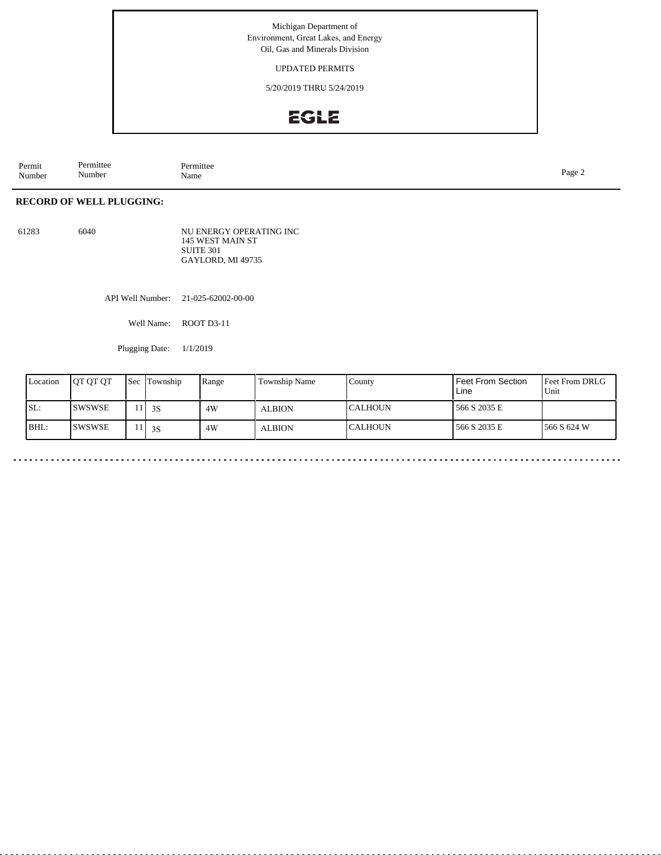### Michigan Department of Environment, Great Lakes, and Energy Oil, Gas and Minerals Division

#### UPDATED PERMITS

5/20/2019 THRU 5/24/2019

# EGLE

Permit Number Permittee Number Permittee<br>Name Name Page 2

## **RECORD OF WELL PLUGGING:**

61283 6040

NU ENERGY OPERATING INC 145 WEST MAIN ST SUITE 301 GAYLORD, MI 49735

API Well Number: 21-025-62002-00-00

Well Name: ROOT D3-11

Plugging Date: 1/1/2019

| Location | <b>IOT OT OT</b> | <b>Sec</b> | Township      | Range | Township Name | County          | Feet From Section<br>Line | <b>Feet From DRLG</b><br>Unit |
|----------|------------------|------------|---------------|-------|---------------|-----------------|---------------------------|-------------------------------|
| SL:      | ISWSWSE          |            | $\frac{1}{3}$ | 4W    | <b>ALBION</b> | ICALHOUN        | 566 S 2035 E              |                               |
| BHL:     | ISWSWSE          |            | 3S            | 4W    | <b>ALBION</b> | <b>ICALHOUN</b> | 566 S 2035 E              | 1566 S 624 W                  |

 $-$ 

 $\sim$   $\sim$   $\sim$